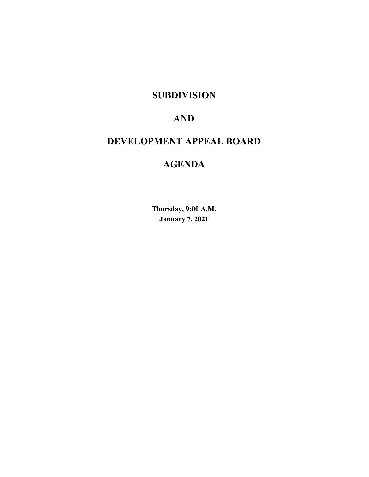# **SUBDIVISION**

# **AND**

# **DEVELOPMENT APPEAL BOARD**

# **AGENDA**

**Thursday, 9:00 A.M. January 7, 2021**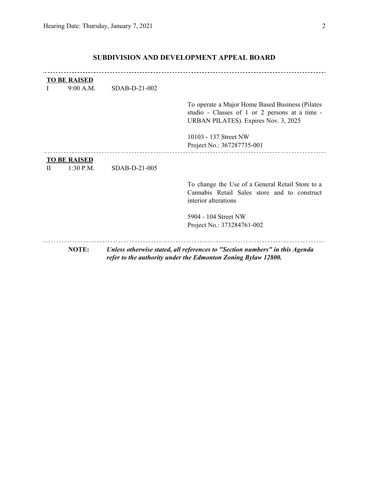|   | <b>TO BE RAISED</b><br>9:00 A.M. | SDAB-D-21-002 |                                                                                                                                              |
|---|----------------------------------|---------------|----------------------------------------------------------------------------------------------------------------------------------------------|
|   |                                  |               | To operate a Major Home Based Business (Pilates<br>studio - Classes of 1 or 2 persons at a time -<br>URBAN PILATES). Expires Nov. 3, 2025    |
|   |                                  |               | 10103 - 137 Street NW<br>Project No.: 367287735-001                                                                                          |
|   | <b>TO BE RAISED</b>              |               |                                                                                                                                              |
| H | $1:30$ P.M.                      | SDAB-D-21-005 |                                                                                                                                              |
|   |                                  |               | To change the Use of a General Retail Store to a<br>Cannabis Retail Sales store and to construct<br>interior alterations                     |
|   |                                  |               | 5904 - 104 Street NW                                                                                                                         |
|   |                                  |               | Project No.: 373284761-002                                                                                                                   |
|   | <b>NOTE:</b>                     |               | Unless otherwise stated, all references to "Section numbers" in this Agenda<br>refer to the authority under the Edmonton Zoning Bylaw 12800. |

# **SUBDIVISION AND DEVELOPMENT APPEAL BOARD**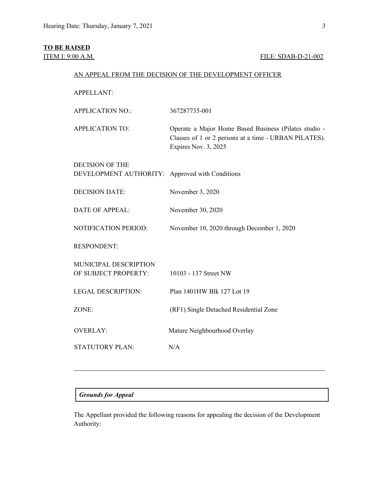# **TO BE RAISED**

# **ITEM I: 9:00 A.M. FILE: SDAB-D-21-002**

| AN APPEAL FROM THE DECISION OF THE DEVELOPMENT OFFICER |
|--------------------------------------------------------|
|--------------------------------------------------------|

APPELLANT:

| <b>APPLICATION NO.:</b>                                                   | 367287735-001                                                                                                                          |
|---------------------------------------------------------------------------|----------------------------------------------------------------------------------------------------------------------------------------|
| <b>APPLICATION TO:</b>                                                    | Operate a Major Home Based Business (Pilates studio -<br>Classes of 1 or 2 persons at a time - URBAN PILATES).<br>Expires Nov. 3, 2025 |
| <b>DECISION OF THE</b><br>DEVELOPMENT AUTHORITY: Approved with Conditions |                                                                                                                                        |
| <b>DECISION DATE:</b>                                                     | November 3, 2020                                                                                                                       |
| <b>DATE OF APPEAL:</b>                                                    | November 30, 2020                                                                                                                      |
| NOTIFICATION PERIOD:                                                      | November 10, 2020 through December 1, 2020                                                                                             |
| <b>RESPONDENT:</b>                                                        |                                                                                                                                        |
| MUNICIPAL DESCRIPTION<br>OF SUBJECT PROPERTY:                             | 10103 - 137 Street NW                                                                                                                  |
| <b>LEGAL DESCRIPTION:</b>                                                 | Plan 1401HW Blk 127 Lot 19                                                                                                             |
| ZONE:                                                                     | (RF1) Single Detached Residential Zone                                                                                                 |
| <b>OVERLAY:</b>                                                           | Mature Neighbourhood Overlay                                                                                                           |
| <b>STATUTORY PLAN:</b>                                                    | N/A                                                                                                                                    |
|                                                                           |                                                                                                                                        |

# *Grounds for Appeal*

The Appellant provided the following reasons for appealing the decision of the Development Authority: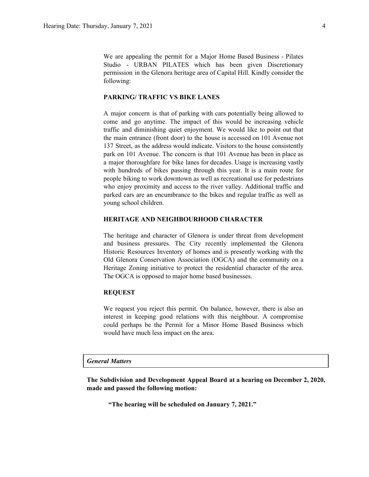We are appealing the permit for a Major Home Based Business - Pilates Studio - URBAN PILATES which has been given Discretionary permission in the Glenora heritage area of Capital Hill. Kindly consider the following:

### **PARKING/ TRAFFIC VS BIKE LANES**

A major concern is that of parking with cars potentially being allowed to come and go anytime. The impact of this would be increasing vehicle traffic and diminishing quiet enjoyment. We would like to point out that the main entrance (front door) to the house is accessed on 101 Avenue not 137 Street, as the address would indicate. Visitors to the house consistently park on 101 Avenue. The concern is that 101 Avenue has been in place as a major thoroughfare for bike lanes for decades. Usage is increasing vastly with hundreds of bikes passing through this year. It is a main route for people biking to work downtown as well as recreational use for pedestrians who enjoy proximity and access to the river valley. Additional traffic and parked cars are an encumbrance to the bikes and regular traffic as well as young school children.

### **HERITAGE AND NEIGHBOURHOOD CHARACTER**

The heritage and character of Glenora is under threat from development and business pressures. The City recently implemented the Glenora Historic Resources Inventory of homes and is presently working with the Old Glenora Conservation Association (OGCA) and the community on a Heritage Zoning initiative to protect the residential character of the area. The OGCA is opposed to major home based businesses.

### **REQUEST**

We request you reject this permit. On balance, however, there is also an interest in keeping good relations with this neighbour. A compromise could perhaps be the Permit for a Minor Home Based Business which would have much less impact on the area.

### *General Matters*

**The Subdivision and Development Appeal Board at a hearing on December 2, 2020, made and passed the following motion:**

**"The hearing will be scheduled on January 7, 2021."**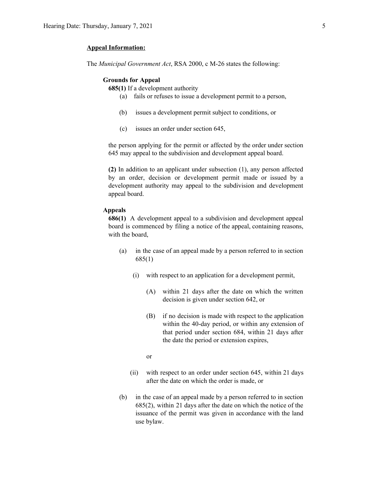### **Appeal Information:**

The *Municipal Government Act*, RSA 2000, c M-26 states the following:

### **Grounds for Appeal**

**685(1)** If a development authority

- (a) fails or refuses to issue a development permit to a person,
- (b) issues a development permit subject to conditions, or
- (c) issues an order under section 645,

the person applying for the permit or affected by the order under section 645 may appeal to the subdivision and development appeal board.

**(2)** In addition to an applicant under subsection (1), any person affected by an order, decision or development permit made or issued by a development authority may appeal to the subdivision and development appeal board.

### **Appeals**

**686(1)** A development appeal to a subdivision and development appeal board is commenced by filing a notice of the appeal, containing reasons, with the board,

- (a) in the case of an appeal made by a person referred to in section 685(1)
	- (i) with respect to an application for a development permit,
		- (A) within 21 days after the date on which the written decision is given under section 642, or
		- (B) if no decision is made with respect to the application within the 40-day period, or within any extension of that period under section 684, within 21 days after the date the period or extension expires,
		- or
	- (ii) with respect to an order under section 645, within 21 days after the date on which the order is made, or
- (b) in the case of an appeal made by a person referred to in section 685(2), within 21 days after the date on which the notice of the issuance of the permit was given in accordance with the land use bylaw.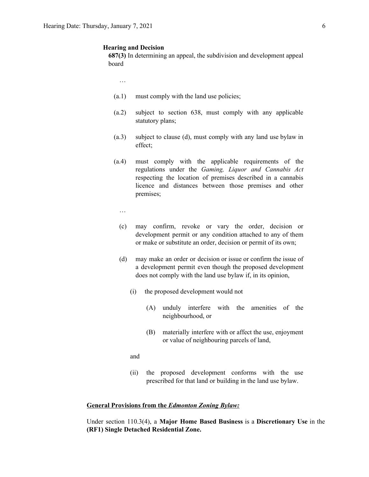### **Hearing and Decision**

**687(3)** In determining an appeal, the subdivision and development appeal board

…

- (a.1) must comply with the land use policies;
- (a.2) subject to section 638, must comply with any applicable statutory plans;
- (a.3) subject to clause (d), must comply with any land use bylaw in effect;
- (a.4) must comply with the applicable requirements of the regulations under the *Gaming, Liquor and Cannabis Act* respecting the location of premises described in a cannabis licence and distances between those premises and other premises;
	- …
	- (c) may confirm, revoke or vary the order, decision or development permit or any condition attached to any of them or make or substitute an order, decision or permit of its own;
	- (d) may make an order or decision or issue or confirm the issue of a development permit even though the proposed development does not comply with the land use bylaw if, in its opinion,
		- (i) the proposed development would not
			- (A) unduly interfere with the amenities of the neighbourhood, or
			- (B) materially interfere with or affect the use, enjoyment or value of neighbouring parcels of land,

and

(ii) the proposed development conforms with the use prescribed for that land or building in the land use bylaw.

### **General Provisions from the** *Edmonton Zoning Bylaw:*

Under section 110.3(4), a **Major Home Based Business** is a **Discretionary Use** in the **(RF1) Single Detached Residential Zone.**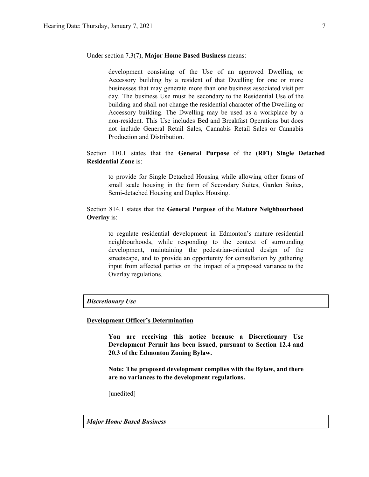### Under section 7.3(7), **Major Home Based Business** means:

development consisting of the Use of an approved Dwelling or Accessory building by a resident of that Dwelling for one or more businesses that may generate more than one business associated visit per day. The business Use must be secondary to the Residential Use of the building and shall not change the residential character of the Dwelling or Accessory building. The Dwelling may be used as a workplace by a non-resident. This Use includes Bed and Breakfast Operations but does not include General Retail Sales, Cannabis Retail Sales or Cannabis Production and Distribution.

## Section 110.1 states that the **General Purpose** of the **(RF1) Single Detached Residential Zone** is:

to provide for Single Detached Housing while allowing other forms of small scale housing in the form of Secondary Suites, Garden Suites, Semi-detached Housing and Duplex Housing.

## Section 814.1 states that the **General Purpose** of the **Mature Neighbourhood Overlay** is:

to regulate residential development in Edmonton's mature residential neighbourhoods, while responding to the context of surrounding development, maintaining the pedestrian-oriented design of the streetscape, and to provide an opportunity for consultation by gathering input from affected parties on the impact of a proposed variance to the Overlay regulations.

## *Discretionary Use*

#### **Development Officer's Determination**

**You are receiving this notice because a Discretionary Use Development Permit has been issued, pursuant to Section 12.4 and 20.3 of the Edmonton Zoning Bylaw.**

**Note: The proposed development complies with the Bylaw, and there are no variances to the development regulations.**

[unedited]

### *Major Home Based Business*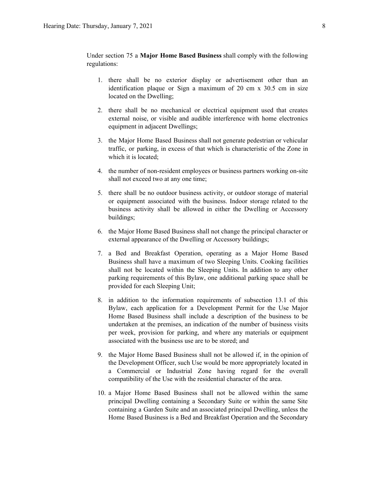Under section 75 a **Major Home Based Business** shall comply with the following regulations:

- 1. there shall be no exterior display or advertisement other than an identification plaque or Sign a maximum of 20 cm x 30.5 cm in size located on the Dwelling;
- 2. there shall be no mechanical or electrical equipment used that creates external noise, or visible and audible interference with home electronics equipment in adjacent Dwellings;
- 3. the Major Home Based Business shall not generate pedestrian or vehicular traffic, or parking, in excess of that which is characteristic of the Zone in which it is located;
- 4. the number of non-resident employees or business partners working on-site shall not exceed two at any one time;
- 5. there shall be no outdoor business activity, or outdoor storage of material or equipment associated with the business. Indoor storage related to the business activity shall be allowed in either the Dwelling or Accessory buildings;
- 6. the Major Home Based Business shall not change the principal character or external appearance of the Dwelling or Accessory buildings;
- 7. a Bed and Breakfast Operation, operating as a Major Home Based Business shall have a maximum of two Sleeping Units. Cooking facilities shall not be located within the Sleeping Units. In addition to any other parking requirements of this Bylaw, one additional parking space shall be provided for each Sleeping Unit;
- 8. in addition to the information requirements of subsection 13.1 of this Bylaw, each application for a Development Permit for the Use Major Home Based Business shall include a description of the business to be undertaken at the premises, an indication of the number of business visits per week, provision for parking, and where any materials or equipment associated with the business use are to be stored; and
- 9. the Major Home Based Business shall not be allowed if, in the opinion of the Development Officer, such Use would be more appropriately located in a Commercial or Industrial Zone having regard for the overall compatibility of the Use with the residential character of the area.
- 10. a Major Home Based Business shall not be allowed within the same principal Dwelling containing a Secondary Suite or within the same Site containing a Garden Suite and an associated principal Dwelling, unless the Home Based Business is a Bed and Breakfast Operation and the Secondary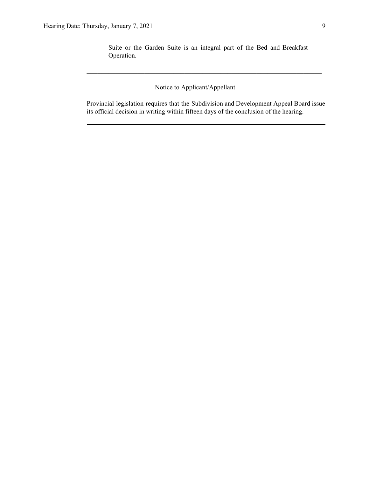Suite or the Garden Suite is an integral part of the Bed and Breakfast Operation.

 $\mathcal{L}_\text{max}$  , and the contribution of the contribution of the contribution of the contribution of the contribution of the contribution of the contribution of the contribution of the contribution of the contribution of t

# Notice to Applicant/Appellant

Provincial legislation requires that the Subdivision and Development Appeal Board issue its official decision in writing within fifteen days of the conclusion of the hearing.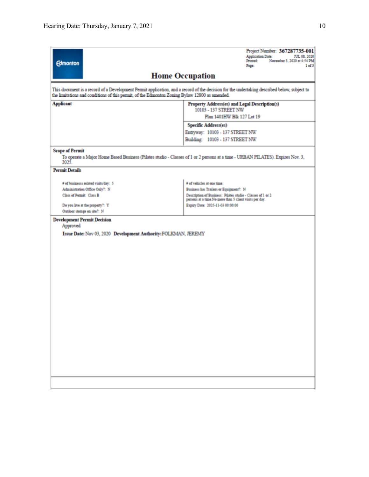|                                                                                                                                                                                                                                              | Project Number: 367287735-001<br><b>Application Date:</b><br>JUL 08, 2020<br>Printed:<br>November 3, 2020 at 4:54 PM           |  |  |  |
|----------------------------------------------------------------------------------------------------------------------------------------------------------------------------------------------------------------------------------------------|--------------------------------------------------------------------------------------------------------------------------------|--|--|--|
| <b>Edmonton</b>                                                                                                                                                                                                                              | Page:<br>1 of 3                                                                                                                |  |  |  |
|                                                                                                                                                                                                                                              | <b>Home Occupation</b>                                                                                                         |  |  |  |
| This document is a record of a Development Permit application, and a record of the decision for the undertaking described below, subject to<br>the limitations and conditions of this permit, of the Edmonton Zoning Bylaw 12800 as amended. |                                                                                                                                |  |  |  |
| <b>Applicant</b><br>Property Address(es) and Legal Description(s)<br>10103 - 137 STREET NW                                                                                                                                                   |                                                                                                                                |  |  |  |
|                                                                                                                                                                                                                                              | Plan 1401HW Blk 127 Lot 19                                                                                                     |  |  |  |
|                                                                                                                                                                                                                                              | Specific Address(es)                                                                                                           |  |  |  |
|                                                                                                                                                                                                                                              | Entryway: 10103 - 137 STREET NW<br>Building: 10103 - 137 STREET NW                                                             |  |  |  |
|                                                                                                                                                                                                                                              |                                                                                                                                |  |  |  |
| <b>Scope of Permit</b><br>2025.                                                                                                                                                                                                              | To operate a Major Home Based Business (Pilates studio - Classes of 1 or 2 persons at a time - URBAN PILATES). Expires Nov. 3, |  |  |  |
| <b>Permit Details</b>                                                                                                                                                                                                                        |                                                                                                                                |  |  |  |
| # of businesss related visits/day: 5                                                                                                                                                                                                         | # of vehicles at one time:                                                                                                     |  |  |  |
| Administration Office Only?: N                                                                                                                                                                                                               | Business has Trailers or Equipment?: N                                                                                         |  |  |  |
| Class of Permit: Class B                                                                                                                                                                                                                     | Description of Business: Pilates studio - Classes of 1 or 2<br>persons at a time No more than 5 client visits per day.         |  |  |  |
| Do you live at the property?: Y                                                                                                                                                                                                              | Expiry Date: 2025-11-03 00:00:00                                                                                               |  |  |  |
| Outdoor storage on site?: N                                                                                                                                                                                                                  |                                                                                                                                |  |  |  |
| <b>Development Permit Decision</b><br>Approved                                                                                                                                                                                               |                                                                                                                                |  |  |  |
| Issue Date: Nov 03, 2020 Development Authority: FOLKMAN, JEREMY                                                                                                                                                                              |                                                                                                                                |  |  |  |
|                                                                                                                                                                                                                                              |                                                                                                                                |  |  |  |
|                                                                                                                                                                                                                                              |                                                                                                                                |  |  |  |
|                                                                                                                                                                                                                                              |                                                                                                                                |  |  |  |
|                                                                                                                                                                                                                                              |                                                                                                                                |  |  |  |
|                                                                                                                                                                                                                                              |                                                                                                                                |  |  |  |
|                                                                                                                                                                                                                                              |                                                                                                                                |  |  |  |
|                                                                                                                                                                                                                                              |                                                                                                                                |  |  |  |
|                                                                                                                                                                                                                                              |                                                                                                                                |  |  |  |
|                                                                                                                                                                                                                                              |                                                                                                                                |  |  |  |
|                                                                                                                                                                                                                                              |                                                                                                                                |  |  |  |
|                                                                                                                                                                                                                                              |                                                                                                                                |  |  |  |
|                                                                                                                                                                                                                                              |                                                                                                                                |  |  |  |
|                                                                                                                                                                                                                                              |                                                                                                                                |  |  |  |
|                                                                                                                                                                                                                                              |                                                                                                                                |  |  |  |
|                                                                                                                                                                                                                                              |                                                                                                                                |  |  |  |
|                                                                                                                                                                                                                                              |                                                                                                                                |  |  |  |
|                                                                                                                                                                                                                                              |                                                                                                                                |  |  |  |
|                                                                                                                                                                                                                                              |                                                                                                                                |  |  |  |
|                                                                                                                                                                                                                                              |                                                                                                                                |  |  |  |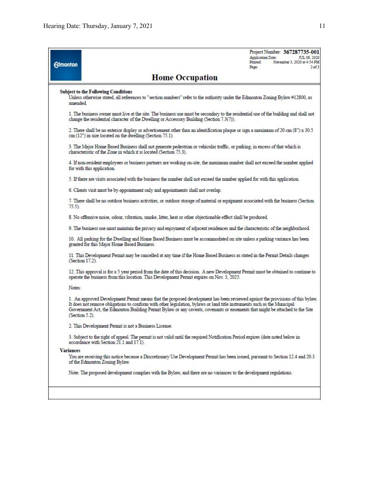| <b>Edmonton</b>                                                                                                                                                                                                                                                                                                                                                                                                |                                                                                                                                                                                                                                     | Application Date:<br>Printed:<br>Page: | Project Number: 367287735-001<br>JUL 08, 2020<br>November 3, 2020 at 4:54 PM<br>$2$ of $3$ |  |  |  |
|----------------------------------------------------------------------------------------------------------------------------------------------------------------------------------------------------------------------------------------------------------------------------------------------------------------------------------------------------------------------------------------------------------------|-------------------------------------------------------------------------------------------------------------------------------------------------------------------------------------------------------------------------------------|----------------------------------------|--------------------------------------------------------------------------------------------|--|--|--|
|                                                                                                                                                                                                                                                                                                                                                                                                                | <b>Home Occupation</b>                                                                                                                                                                                                              |                                        |                                                                                            |  |  |  |
| amended.                                                                                                                                                                                                                                                                                                                                                                                                       | <b>Subject to the Following Conditions</b><br>Unless otherwise stated, all references to "section numbers" refer to the authority under the Edmonton Zoning Bylaw #12800, as                                                        |                                        |                                                                                            |  |  |  |
|                                                                                                                                                                                                                                                                                                                                                                                                                | 1. The business owner must live at the site. The business use must be secondary to the residential use of the building and shall not<br>change the residential character of the Dwelling or Accessory Building (Section $7.3(7)$ ). |                                        |                                                                                            |  |  |  |
| 2. There shall be no exterior display or advertisement other than an identification plaque or sign a maximum of 20 cm (8") x 30.5<br>$cm(12")$ in size located on the dwelling (Section $75.1$ ).                                                                                                                                                                                                              |                                                                                                                                                                                                                                     |                                        |                                                                                            |  |  |  |
|                                                                                                                                                                                                                                                                                                                                                                                                                | 3. The Major Home Based Business shall not generate pedestrian or vehicular traffic, or parking, in excess of that which is<br>characteristic of the Zone in which it is located (Section 75.3).                                    |                                        |                                                                                            |  |  |  |
|                                                                                                                                                                                                                                                                                                                                                                                                                | 4. If non-resident employees or business partners are working on-site, the maximum number shall not exceed the number applied<br>for with this application.                                                                         |                                        |                                                                                            |  |  |  |
|                                                                                                                                                                                                                                                                                                                                                                                                                | 5. If there are visits associated with the business the number shall not exceed the number applied for with this application.                                                                                                       |                                        |                                                                                            |  |  |  |
|                                                                                                                                                                                                                                                                                                                                                                                                                | 6. Clients visit must be by-appointment only and appointments shall not overlap.                                                                                                                                                    |                                        |                                                                                            |  |  |  |
| $75.5$ ).                                                                                                                                                                                                                                                                                                                                                                                                      | 7. There shall be no outdoor business activities, or outdoor storage of material or equipment associated with the business (Section                                                                                                 |                                        |                                                                                            |  |  |  |
|                                                                                                                                                                                                                                                                                                                                                                                                                | 8. No offensive noise, odour, vibration, smoke, litter, heat or other objectionable effect shall be produced.                                                                                                                       |                                        |                                                                                            |  |  |  |
|                                                                                                                                                                                                                                                                                                                                                                                                                | 9. The business use must maintain the privacy and enjoyment of adjacent residences and the characteristic of the neighborhood.                                                                                                      |                                        |                                                                                            |  |  |  |
|                                                                                                                                                                                                                                                                                                                                                                                                                | 10. All parking for the Dwelling and Home Based Business must be accommodated on site unless a parking variance has been<br>granted for this Major Home Based Business.                                                             |                                        |                                                                                            |  |  |  |
|                                                                                                                                                                                                                                                                                                                                                                                                                | 11. This Development Permit may be cancelled at any time if the Home Based Business as stated in the Permit Details changes<br>(Section 17.2).                                                                                      |                                        |                                                                                            |  |  |  |
|                                                                                                                                                                                                                                                                                                                                                                                                                | 12. This approval is for a 5 year period from the date of this decision. A new Development Permit must be obtained to continue to<br>operate the business from this location. This Development Permit expires on Nov. 3, 2025.      |                                        |                                                                                            |  |  |  |
| Notes:                                                                                                                                                                                                                                                                                                                                                                                                         |                                                                                                                                                                                                                                     |                                        |                                                                                            |  |  |  |
| 1. An approved Development Permit means that the proposed development has been reviewed against the provisions of this bylaw.<br>It does not remove obligations to conform with other legislation, bylaws or land title instruments such as the Municipal<br>Government Act, the Edmonton Building Permit Bylaw or any caveats, covenants or easements that might be attached to the Site<br>$(Section 5.2)$ . |                                                                                                                                                                                                                                     |                                        |                                                                                            |  |  |  |
| 2. This Development Permit is not a Business License.                                                                                                                                                                                                                                                                                                                                                          |                                                                                                                                                                                                                                     |                                        |                                                                                            |  |  |  |
|                                                                                                                                                                                                                                                                                                                                                                                                                | 3. Subject to the right of appeal. The permit is not valid until the required Notification Period expires (date noted below in<br>accordance with Section 21.1 and 17.1).                                                           |                                        |                                                                                            |  |  |  |
| <b>Variances</b>                                                                                                                                                                                                                                                                                                                                                                                               |                                                                                                                                                                                                                                     |                                        |                                                                                            |  |  |  |
|                                                                                                                                                                                                                                                                                                                                                                                                                | You are receiving this notice because a Discretionary Use Development Permit has been issued, pursuant to Section 12.4 and 20.3<br>of the Edmonton Zoning Bylaw.                                                                    |                                        |                                                                                            |  |  |  |
|                                                                                                                                                                                                                                                                                                                                                                                                                | Note: The proposed development complies with the Bylaw, and there are no variances to the development regulations.                                                                                                                  |                                        |                                                                                            |  |  |  |
|                                                                                                                                                                                                                                                                                                                                                                                                                |                                                                                                                                                                                                                                     |                                        |                                                                                            |  |  |  |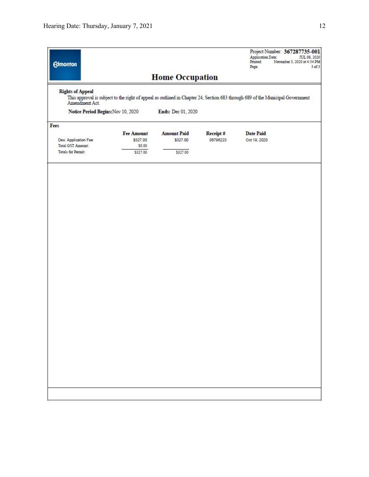| <b>Edmonton</b>                                      |                                                                                                                                |                        |          | <b>Application Date:</b><br>Printed:<br>Page: | Project Number: 367287735-001<br>JUL 08, 2020<br>November 3, 2020 at 4:54 PM<br>$3$ of $3$ |
|------------------------------------------------------|--------------------------------------------------------------------------------------------------------------------------------|------------------------|----------|-----------------------------------------------|--------------------------------------------------------------------------------------------|
|                                                      |                                                                                                                                | <b>Home Occupation</b> |          |                                               |                                                                                            |
| <b>Rights of Appeal</b>                              | This approval is subject to the right of appeal as outlined in Chapter 24, Section 683 through 689 of the Municipal Government |                        |          |                                               |                                                                                            |
| Amendment Act.<br>Notice Period Begins: Nov 10, 2020 |                                                                                                                                | Ends: Dec 01, 2020     |          |                                               |                                                                                            |
| Fees                                                 |                                                                                                                                |                        |          |                                               |                                                                                            |
|                                                      | <b>Fee Amount</b>                                                                                                              | <b>Amount Paid</b>     | Receipt# | <b>Date Paid</b>                              |                                                                                            |
|                                                      |                                                                                                                                |                        |          |                                               |                                                                                            |
| Dev. Application Fee                                 | \$327.00                                                                                                                       | \$327.00               | 06796223 | Oct 19, 2020                                  |                                                                                            |
| Total GST Amount:                                    | \$0.00                                                                                                                         |                        |          |                                               |                                                                                            |
| Totals for Permit:                                   | \$327.00                                                                                                                       | \$327.00               |          |                                               |                                                                                            |
|                                                      |                                                                                                                                |                        |          |                                               |                                                                                            |
|                                                      |                                                                                                                                |                        |          |                                               |                                                                                            |
|                                                      |                                                                                                                                |                        |          |                                               |                                                                                            |
|                                                      |                                                                                                                                |                        |          |                                               |                                                                                            |
|                                                      |                                                                                                                                |                        |          |                                               |                                                                                            |
|                                                      |                                                                                                                                |                        |          |                                               |                                                                                            |
|                                                      |                                                                                                                                |                        |          |                                               |                                                                                            |
|                                                      |                                                                                                                                |                        |          |                                               |                                                                                            |
|                                                      |                                                                                                                                |                        |          |                                               |                                                                                            |
|                                                      |                                                                                                                                |                        |          |                                               |                                                                                            |
|                                                      |                                                                                                                                |                        |          |                                               |                                                                                            |
|                                                      |                                                                                                                                |                        |          |                                               |                                                                                            |
|                                                      |                                                                                                                                |                        |          |                                               |                                                                                            |
|                                                      |                                                                                                                                |                        |          |                                               |                                                                                            |
|                                                      |                                                                                                                                |                        |          |                                               |                                                                                            |
|                                                      |                                                                                                                                |                        |          |                                               |                                                                                            |
|                                                      |                                                                                                                                |                        |          |                                               |                                                                                            |
|                                                      |                                                                                                                                |                        |          |                                               |                                                                                            |
|                                                      |                                                                                                                                |                        |          |                                               |                                                                                            |
|                                                      |                                                                                                                                |                        |          |                                               |                                                                                            |
|                                                      |                                                                                                                                |                        |          |                                               |                                                                                            |
|                                                      |                                                                                                                                |                        |          |                                               |                                                                                            |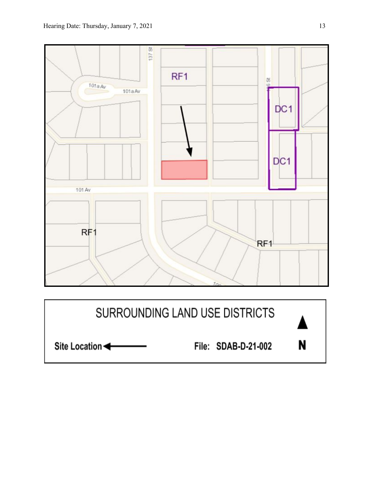

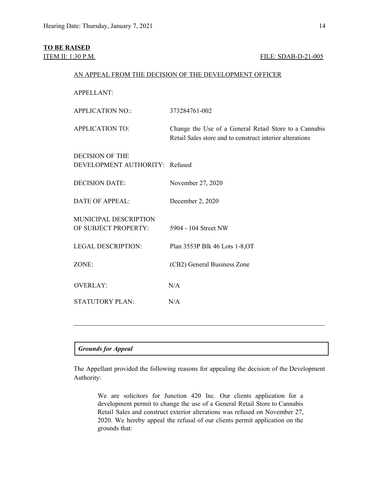# **TO BE RAISED**

### **ITEM II: 1:30 P.M. FILE: SDAB-D-21-005**

### AN APPEAL FROM THE DECISION OF THE DEVELOPMENT OFFICER

APPELLANT: APPLICATION NO.: 373284761-002 APPLICATION TO: Change the Use of a General Retail Store to a Cannabis Retail Sales store and to construct interior alterations DECISION OF THE DEVELOPMENT AUTHORITY: Refused DECISION DATE: November 27, 2020 DATE OF APPEAL: December 2, 2020 MUNICIPAL DESCRIPTION OF SUBJECT PROPERTY: 5904 - 104 Street NW LEGAL DESCRIPTION: Plan 3553P Blk 46 Lots 1-8,OT ZONE: (CB2) General Business Zone OVERLAY: N/A STATUTORY PLAN: N/A

## *Grounds for Appeal*

The Appellant provided the following reasons for appealing the decision of the Development Authority:

We are solicitors for Junction 420 Inc. Our clients application for a development permit to change the use of a General Retail Store to Cannabis Retail Sales and construct exterior alterations was refused on November 27, 2020. We hereby appeal the refusal of our clients permit application on the grounds that: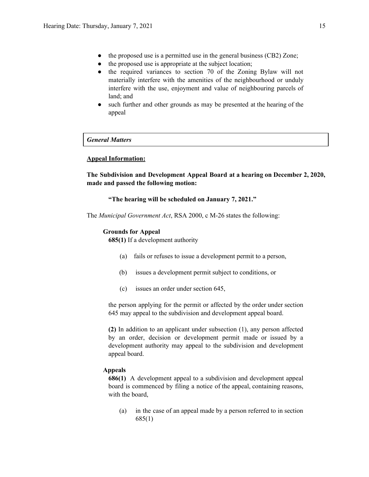- the proposed use is a permitted use in the general business (CB2) Zone;
- the proposed use is appropriate at the subject location;
- the required variances to section 70 of the Zoning Bylaw will not materially interfere with the amenities of the neighbourhood or unduly interfere with the use, enjoyment and value of neighbouring parcels of land; and
- such further and other grounds as may be presented at the hearing of the appeal

*General Matters*

### **Appeal Information:**

**The Subdivision and Development Appeal Board at a hearing on December 2, 2020, made and passed the following motion:**

### **"The hearing will be scheduled on January 7, 2021."**

The *Municipal Government Act*, RSA 2000, c M-26 states the following:

### **Grounds for Appeal**

**685(1)** If a development authority

- (a) fails or refuses to issue a development permit to a person,
- (b) issues a development permit subject to conditions, or
- (c) issues an order under section 645,

the person applying for the permit or affected by the order under section 645 may appeal to the subdivision and development appeal board.

**(2)** In addition to an applicant under subsection (1), any person affected by an order, decision or development permit made or issued by a development authority may appeal to the subdivision and development appeal board.

### **Appeals**

**686(1)** A development appeal to a subdivision and development appeal board is commenced by filing a notice of the appeal, containing reasons, with the board,

(a) in the case of an appeal made by a person referred to in section 685(1)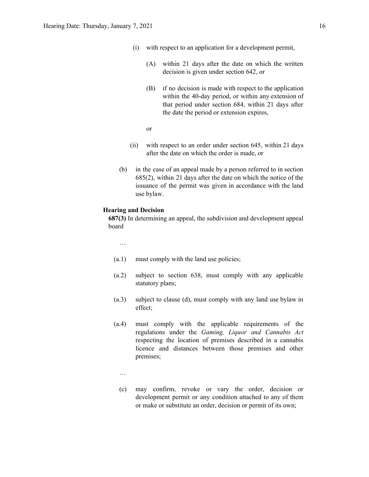- (i) with respect to an application for a development permit,
	- (A) within 21 days after the date on which the written decision is given under section 642, or
	- (B) if no decision is made with respect to the application within the 40-day period, or within any extension of that period under section 684, within 21 days after the date the period or extension expires,

or

- (ii) with respect to an order under section 645, within 21 days after the date on which the order is made, or
- (b) in the case of an appeal made by a person referred to in section 685(2), within 21 days after the date on which the notice of the issuance of the permit was given in accordance with the land use bylaw.

### **Hearing and Decision**

**687(3)** In determining an appeal, the subdivision and development appeal board

…

- (a.1) must comply with the land use policies;
- (a.2) subject to section 638, must comply with any applicable statutory plans;
- (a.3) subject to clause (d), must comply with any land use bylaw in effect;
- (a.4) must comply with the applicable requirements of the regulations under the *Gaming, Liquor and Cannabis Act* respecting the location of premises described in a cannabis licence and distances between those premises and other premises;
	- …
	- (c) may confirm, revoke or vary the order, decision or development permit or any condition attached to any of them or make or substitute an order, decision or permit of its own;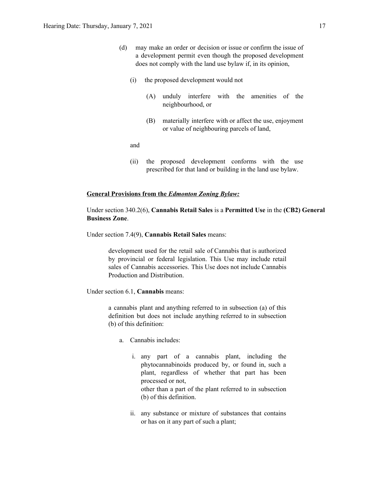- (d) may make an order or decision or issue or confirm the issue of a development permit even though the proposed development does not comply with the land use bylaw if, in its opinion,
	- (i) the proposed development would not
		- (A) unduly interfere with the amenities of the neighbourhood, or
		- (B) materially interfere with or affect the use, enjoyment or value of neighbouring parcels of land,

and

(ii) the proposed development conforms with the use prescribed for that land or building in the land use bylaw.

### **General Provisions from the** *Edmonton Zoning Bylaw:*

Under section 340.2(6), **Cannabis Retail Sales** is a **Permitted Use** in the **(CB2) General Business Zone**.

Under section 7.4(9), **Cannabis Retail Sales** means:

development used for the retail sale of Cannabis that is authorized by provincial or federal legislation. This Use may include retail sales of Cannabis accessories. This Use does not include Cannabis Production and Distribution.

Under section 6.1, **Cannabis** means:

a cannabis plant and anything referred to in subsection (a) of this definition but does not include anything referred to in subsection (b) of this definition:

- a. Cannabis includes:
	- i. any part of a cannabis plant, including the phytocannabinoids produced by, or found in, such a plant, regardless of whether that part has been processed or not, other than a part of the plant referred to in subsection (b) of this definition.
	- ii. any substance or mixture of substances that contains or has on it any part of such a plant;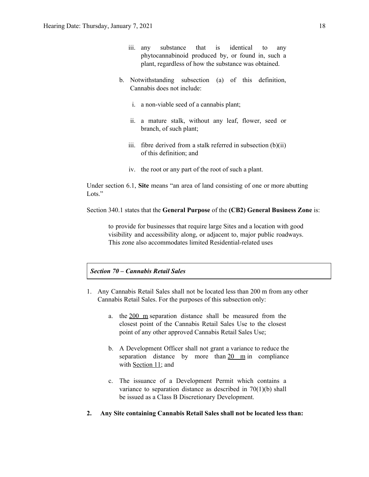- iii. any substance that is identical to any phytocannabinoid produced by, or found in, such a plant, regardless of how the substance was obtained.
- b. Notwithstanding subsection (a) of this definition, Cannabis does not include:
	- i. a non-viable seed of a cannabis plant;
	- ii. a mature stalk, without any leaf, flower, seed or branch, of such plant;
	- iii. fibre derived from a stalk referred in subsection  $(b)(ii)$ of this definition; and
	- iv. the root or any part of the root of such a plant.

Under section 6.1, **Site** means "an area of land consisting of one or more abutting Lots<sup>"</sup>

Section 340.1 states that the **General Purpose** of the **(CB2) General Business Zone** is:

to provide for businesses that require large Sites and a location with good visibility and accessibility along, or adjacent to, major public roadways. This zone also accommodates limited Residential-related uses

## *Section 70 – Cannabis Retail Sales*

- 1. Any Cannabis Retail Sales shall not be located less than 200 m from any other Cannabis Retail Sales. For the purposes of this subsection only:
	- a. the 200 m separation distance shall be measured from the closest point of the Cannabis Retail Sales Use to the closest point of any other approved Cannabis Retail Sales Use;
	- b. A Development Officer shall not grant a variance to reduce the separation distance by more than  $20 \text{ m}$  in compliance with Section 11; and
	- c. The issuance of a Development Permit which contains a variance to separation distance as described in  $70(1)(b)$  shall be issued as a Class B Discretionary Development.
- **2. Any Site containing Cannabis Retail Sales shall not be located less than:**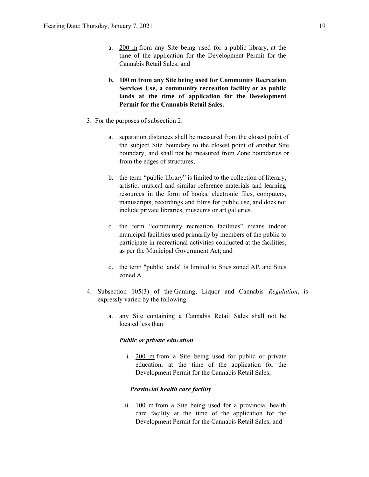- a. 200 m from any Site being used for a public library, at the time of the application for the Development Permit for the Cannabis Retail Sales; and
- **b. 100 m from any Site being used for Community Recreation Services Use, a community recreation facility or as public lands at the time of application for the Development Permit for the Cannabis Retail Sales.**
- 3. For the purposes of subsection 2:
	- a. separation distances shall be measured from the closest point of the subject Site boundary to the closest point of another Site boundary, and shall not be measured from Zone boundaries or from the edges of structures;
	- b. the term "public library" is limited to the collection of literary, artistic, musical and similar reference materials and learning resources in the form of books, electronic files, computers, manuscripts, recordings and films for public use, and does not include private libraries, museums or art galleries.
	- c. the term "community recreation facilities" means indoor municipal facilities used primarily by members of the public to participate in recreational activities conducted at the facilities, as per the Municipal Government Act; and
	- d. the term "public lands" is limited to Sites zoned AP, and Sites zoned A.
- 4. Subsection 105(3) of the Gaming, Liquor and Cannabis *Regulation*, is expressly varied by the following:
	- a. any Site containing a Cannabis Retail Sales shall not be located less than:

#### *Public or private education*

i. 200 m from a Site being used for public or private education, at the time of the application for the Development Permit for the Cannabis Retail Sales;

### *Provincial health care facility*

ii. 100 m from a Site being used for a provincial health care facility at the time of the application for the Development Permit for the Cannabis Retail Sales; and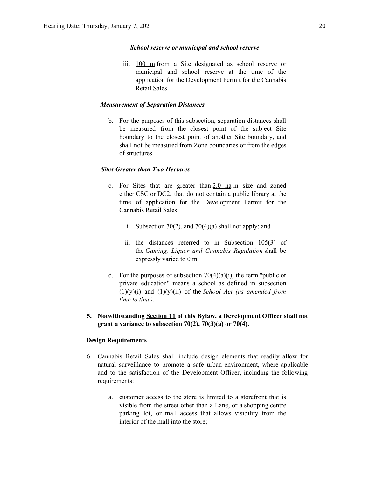### *School reserve or municipal and school reserve*

iii. 100 m from a Site designated as school reserve or municipal and school reserve at the time of the application for the Development Permit for the Cannabis Retail Sales.

### *Measurement of Separation Distances*

b. For the purposes of this subsection, separation distances shall be measured from the closest point of the subject Site boundary to the closest point of another Site boundary, and shall not be measured from Zone boundaries or from the edges of structures.

### *Sites Greater than Two Hectares*

- c. For Sites that are greater than  $2.0$  ha in size and zoned either CSC or DC2, that do not contain a public library at the time of application for the Development Permit for the Cannabis Retail Sales:
	- i. Subsection 70(2), and 70(4)(a) shall not apply; and
	- ii. the distances referred to in Subsection 105(3) of the *Gaming, Liquor and Cannabis Regulation* shall be expressly varied to 0 m.
- d. For the purposes of subsection  $70(4)(a)(i)$ , the term "public or private education" means a school as defined in subsection (1)(y)(i) and (1)(y)(ii) of the *School Act (as amended from time to time).*
- **5. Notwithstanding Section 11 of this Bylaw, a Development Officer shall not grant a variance to subsection 70(2), 70(3)(a) or 70(4).**

### **Design Requirements**

- 6. Cannabis Retail Sales shall include design elements that readily allow for natural surveillance to promote a safe urban environment, where applicable and to the satisfaction of the Development Officer, including the following requirements:
	- a. customer access to the store is limited to a storefront that is visible from the street other than a Lane, or a shopping centre parking lot, or mall access that allows visibility from the interior of the mall into the store;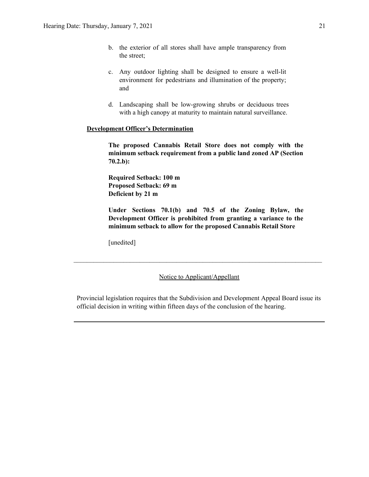- b. the exterior of all stores shall have ample transparency from the street;
- c. Any outdoor lighting shall be designed to ensure a well-lit environment for pedestrians and illumination of the property; and
- d. Landscaping shall be low-growing shrubs or deciduous trees with a high canopy at maturity to maintain natural surveillance.

### **Development Officer's Determination**

**The proposed Cannabis Retail Store does not comply with the minimum setback requirement from a public land zoned AP (Section 70.2.b):**

**Required Setback: 100 m Proposed Setback: 69 m Deficient by 21 m**

**Under Sections 70.1(b) and 70.5 of the Zoning Bylaw, the Development Officer is prohibited from granting a variance to the minimum setback to allow for the proposed Cannabis Retail Store**

[unedited]

Notice to Applicant/Appellant

 $\mathcal{L}_\text{max} = \frac{1}{2} \sum_{i=1}^n \mathcal{L}_\text{max} = \frac{1}{2} \sum_{i=1}^n \mathcal{L}_\text{max} = \frac{1}{2} \sum_{i=1}^n \mathcal{L}_\text{max} = \frac{1}{2} \sum_{i=1}^n \mathcal{L}_\text{max} = \frac{1}{2} \sum_{i=1}^n \mathcal{L}_\text{max} = \frac{1}{2} \sum_{i=1}^n \mathcal{L}_\text{max} = \frac{1}{2} \sum_{i=1}^n \mathcal{L}_\text{max} = \frac{1}{2} \sum_{i=$ 

Provincial legislation requires that the Subdivision and Development Appeal Board issue its official decision in writing within fifteen days of the conclusion of the hearing.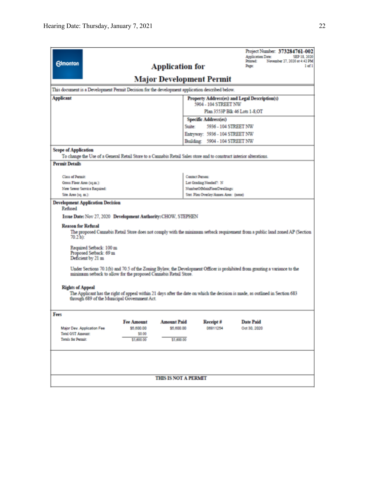| <b>Edmonton</b>                                                                                                                                                                                                                                                                                                                                                                                                                                                                                                                                                                                                                                                                                                                                                                                    | Project Number: 373284761-002<br><b>Application Date:</b><br>SEP 18, 2020<br>Printed:<br>November 27, 2020 at 4:42 PM<br>1 of 1<br><b>Application for</b><br>Page: |  |  |  |  |
|----------------------------------------------------------------------------------------------------------------------------------------------------------------------------------------------------------------------------------------------------------------------------------------------------------------------------------------------------------------------------------------------------------------------------------------------------------------------------------------------------------------------------------------------------------------------------------------------------------------------------------------------------------------------------------------------------------------------------------------------------------------------------------------------------|--------------------------------------------------------------------------------------------------------------------------------------------------------------------|--|--|--|--|
| <b>Major Development Permit</b>                                                                                                                                                                                                                                                                                                                                                                                                                                                                                                                                                                                                                                                                                                                                                                    |                                                                                                                                                                    |  |  |  |  |
| This document is a Development Permit Decision for the development application described below.                                                                                                                                                                                                                                                                                                                                                                                                                                                                                                                                                                                                                                                                                                    |                                                                                                                                                                    |  |  |  |  |
| <b>Applicant</b><br>Property Address(es) and Legal Description(s)<br>5904 - 104 STREET NW                                                                                                                                                                                                                                                                                                                                                                                                                                                                                                                                                                                                                                                                                                          |                                                                                                                                                                    |  |  |  |  |
| Plan 3553P Blk 46 Lots 1-8.OT                                                                                                                                                                                                                                                                                                                                                                                                                                                                                                                                                                                                                                                                                                                                                                      |                                                                                                                                                                    |  |  |  |  |
| Specific Address(es)                                                                                                                                                                                                                                                                                                                                                                                                                                                                                                                                                                                                                                                                                                                                                                               |                                                                                                                                                                    |  |  |  |  |
|                                                                                                                                                                                                                                                                                                                                                                                                                                                                                                                                                                                                                                                                                                                                                                                                    | 5936 - 104 STREET NW<br>Suite:                                                                                                                                     |  |  |  |  |
|                                                                                                                                                                                                                                                                                                                                                                                                                                                                                                                                                                                                                                                                                                                                                                                                    | Entryway: 5936 - 104 STREET NW                                                                                                                                     |  |  |  |  |
|                                                                                                                                                                                                                                                                                                                                                                                                                                                                                                                                                                                                                                                                                                                                                                                                    | Building: 5904 - 104 STREET NW                                                                                                                                     |  |  |  |  |
| <b>Scope of Application</b><br>To change the Use of a General Retail Store to a Cannabis Retail Sales store and to construct interior alterations.                                                                                                                                                                                                                                                                                                                                                                                                                                                                                                                                                                                                                                                 |                                                                                                                                                                    |  |  |  |  |
| <b>Permit Details</b>                                                                                                                                                                                                                                                                                                                                                                                                                                                                                                                                                                                                                                                                                                                                                                              |                                                                                                                                                                    |  |  |  |  |
|                                                                                                                                                                                                                                                                                                                                                                                                                                                                                                                                                                                                                                                                                                                                                                                                    |                                                                                                                                                                    |  |  |  |  |
| <b>Class of Permit</b>                                                                                                                                                                                                                                                                                                                                                                                                                                                                                                                                                                                                                                                                                                                                                                             | Contact Person:                                                                                                                                                    |  |  |  |  |
| Gross Floor Area (sq.m.):                                                                                                                                                                                                                                                                                                                                                                                                                                                                                                                                                                                                                                                                                                                                                                          | Lot Grading Needed?: N<br>NumberOfMainFloorDwellings:                                                                                                              |  |  |  |  |
| New Sewer Service Required:<br>Site Area (1q. m.):                                                                                                                                                                                                                                                                                                                                                                                                                                                                                                                                                                                                                                                                                                                                                 | Stat. Plan Overlay/Annex Area: (none)                                                                                                                              |  |  |  |  |
| <b>Development Application Decision</b><br>Refused<br>Issue Date: Nov 27, 2020 Development Authority: CHOW, STEPHEN<br><b>Reason for Refusal</b><br>The proposed Cannabis Retail Store does not comply with the minimum setback requirement from a public land zoned AP (Section<br>$70.2 \,\mathrm{b}$ ):<br>Required Setback: 100 m<br>Proposed Setback: 69 m<br>Deficient by 21 m<br>Under Sections 70.1(b) and 70.5 of the Zoning Bylaw, the Development Officer is prohibited from granting a variance to the<br>mininum setback to allow for the proposed Cannabis Retail Store.<br><b>Rights of Appeal</b><br>The Applicant has the right of appeal within 21 days after the date on which the decision is made, as outlined in Section 683<br>through 689 of the Municipal Government Act. |                                                                                                                                                                    |  |  |  |  |
| Fees<br><b>Fee Amount</b><br>\$5,600.00<br>Major Dev. Application Fee<br><b>Total G5T Amount:</b><br>\$0.00<br>Totals for Permit:<br>\$5,600.00                                                                                                                                                                                                                                                                                                                                                                                                                                                                                                                                                                                                                                                    | <b>Amount Paid</b><br>Receipt #<br><b>Date Paid</b><br>\$5,600.00<br>06811254<br>Oct 30, 2020<br>\$5,600.00                                                        |  |  |  |  |
| <b>THIS IS NOT A PERMIT</b>                                                                                                                                                                                                                                                                                                                                                                                                                                                                                                                                                                                                                                                                                                                                                                        |                                                                                                                                                                    |  |  |  |  |